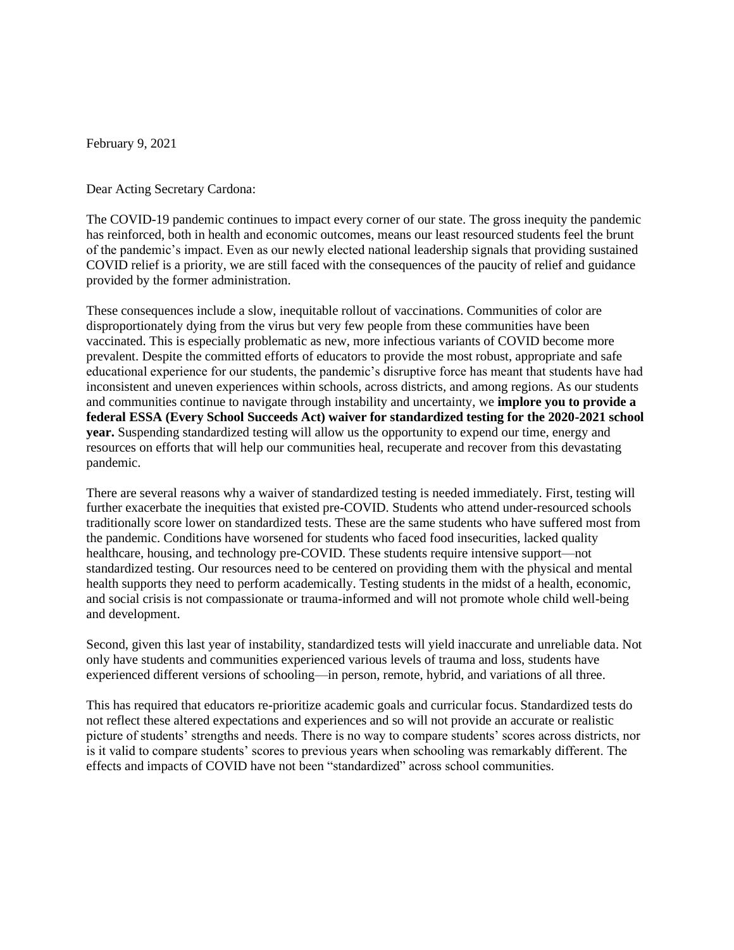February 9, 2021

Dear Acting Secretary Cardona:

The COVID-19 pandemic continues to impact every corner of our state. The gross inequity the pandemic has reinforced, both in health and economic outcomes, means our least resourced students feel the brunt of the pandemic's impact. Even as our newly elected national leadership signals that providing sustained COVID relief is a priority, we are still faced with the consequences of the paucity of relief and guidance provided by the former administration.

These consequences include a slow, inequitable rollout of vaccinations. Communities of color are disproportionately dying from the virus but very few people from these communities have been vaccinated. This is especially problematic as new, more infectious variants of COVID become more prevalent. Despite the committed efforts of educators to provide the most robust, appropriate and safe educational experience for our students, the pandemic's disruptive force has meant that students have had inconsistent and uneven experiences within schools, across districts, and among regions. As our students and communities continue to navigate through instability and uncertainty, we **implore you to provide a federal ESSA (Every School Succeeds Act) waiver for standardized testing for the 2020-2021 school year.** Suspending standardized testing will allow us the opportunity to expend our time, energy and resources on efforts that will help our communities heal, recuperate and recover from this devastating pandemic.

There are several reasons why a waiver of standardized testing is needed immediately. First, testing will further exacerbate the inequities that existed pre-COVID. Students who attend under-resourced schools traditionally score lower on standardized tests. These are the same students who have suffered most from the pandemic. Conditions have worsened for students who faced food insecurities, lacked quality healthcare, housing, and technology pre-COVID. These students require intensive support—not standardized testing. Our resources need to be centered on providing them with the physical and mental health supports they need to perform academically. Testing students in the midst of a health, economic, and social crisis is not compassionate or trauma-informed and will not promote whole child well-being and development.

Second, given this last year of instability, standardized tests will yield inaccurate and unreliable data. Not only have students and communities experienced various levels of trauma and loss, students have experienced different versions of schooling—in person, remote, hybrid, and variations of all three.

This has required that educators re-prioritize academic goals and curricular focus. Standardized tests do not reflect these altered expectations and experiences and so will not provide an accurate or realistic picture of students' strengths and needs. There is no way to compare students' scores across districts, nor is it valid to compare students' scores to previous years when schooling was remarkably different. The effects and impacts of COVID have not been "standardized" across school communities.